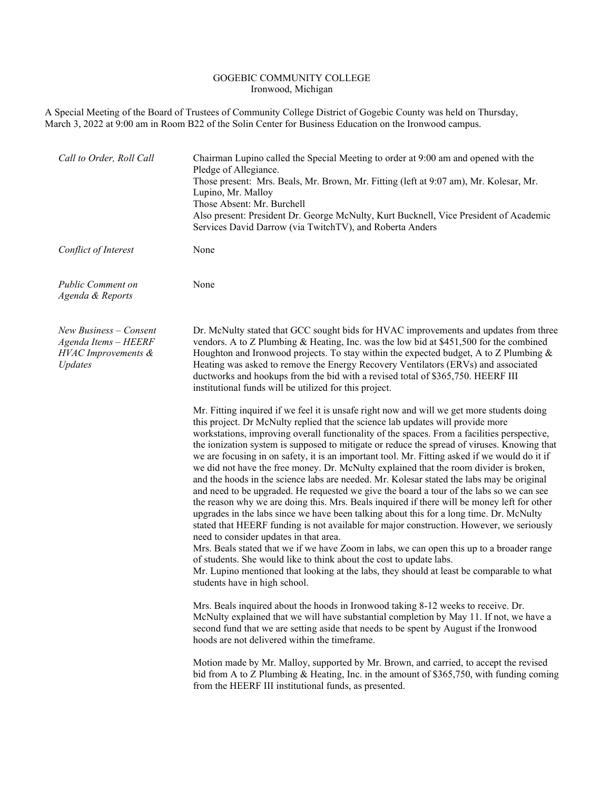## GOGEBIC COMMUNITY COLLEGE Ironwood, Michigan

A Special Meeting of the Board of Trustees of Community College District of Gogebic County was held on Thursday, March 3, 2022 at 9:00 am in Room B22 of the Solin Center for Business Education on the Ironwood campus.

| Call to Order, Roll Call                                                           | Chairman Lupino called the Special Meeting to order at 9:00 am and opened with the<br>Pledge of Allegiance.<br>Those present: Mrs. Beals, Mr. Brown, Mr. Fitting (left at 9:07 am), Mr. Kolesar, Mr.<br>Lupino, Mr. Malloy<br>Those Absent: Mr. Burchell<br>Also present: President Dr. George McNulty, Kurt Bucknell, Vice President of Academic<br>Services David Darrow (via TwitchTV), and Roberta Anders                                                                                                                                                                                                                                                                                                                                                                                                                                                                                                                                                                                                                                                                                                                                                                                                                                                                                                                                                                                     |
|------------------------------------------------------------------------------------|---------------------------------------------------------------------------------------------------------------------------------------------------------------------------------------------------------------------------------------------------------------------------------------------------------------------------------------------------------------------------------------------------------------------------------------------------------------------------------------------------------------------------------------------------------------------------------------------------------------------------------------------------------------------------------------------------------------------------------------------------------------------------------------------------------------------------------------------------------------------------------------------------------------------------------------------------------------------------------------------------------------------------------------------------------------------------------------------------------------------------------------------------------------------------------------------------------------------------------------------------------------------------------------------------------------------------------------------------------------------------------------------------|
| Conflict of Interest                                                               | None                                                                                                                                                                                                                                                                                                                                                                                                                                                                                                                                                                                                                                                                                                                                                                                                                                                                                                                                                                                                                                                                                                                                                                                                                                                                                                                                                                                              |
| <b>Public Comment on</b><br>Agenda & Reports                                       | None                                                                                                                                                                                                                                                                                                                                                                                                                                                                                                                                                                                                                                                                                                                                                                                                                                                                                                                                                                                                                                                                                                                                                                                                                                                                                                                                                                                              |
| $New Business$ – Consent<br>Agenda Items - HEERF<br>HVAC Improvements &<br>Updates | Dr. McNulty stated that GCC sought bids for HVAC improvements and updates from three<br>vendors. A to Z Plumbing & Heating, Inc. was the low bid at $$451,500$ for the combined<br>Houghton and Ironwood projects. To stay within the expected budget, A to Z Plumbing $\&$<br>Heating was asked to remove the Energy Recovery Ventilators (ERVs) and associated<br>ductworks and hookups from the bid with a revised total of \$365,750. HEERF III<br>institutional funds will be utilized for this project.                                                                                                                                                                                                                                                                                                                                                                                                                                                                                                                                                                                                                                                                                                                                                                                                                                                                                     |
|                                                                                    | Mr. Fitting inquired if we feel it is unsafe right now and will we get more students doing<br>this project. Dr McNulty replied that the science lab updates will provide more<br>workstations, improving overall functionality of the spaces. From a facilities perspective,<br>the ionization system is supposed to mitigate or reduce the spread of viruses. Knowing that<br>we are focusing in on safety, it is an important tool. Mr. Fitting asked if we would do it if<br>we did not have the free money. Dr. McNulty explained that the room divider is broken,<br>and the hoods in the science labs are needed. Mr. Kolesar stated the labs may be original<br>and need to be upgraded. He requested we give the board a tour of the labs so we can see<br>the reason why we are doing this. Mrs. Beals inquired if there will be money left for other<br>upgrades in the labs since we have been talking about this for a long time. Dr. McNulty<br>stated that HEERF funding is not available for major construction. However, we seriously<br>need to consider updates in that area.<br>Mrs. Beals stated that we if we have Zoom in labs, we can open this up to a broader range<br>of students. She would like to think about the cost to update labs.<br>Mr. Lupino mentioned that looking at the labs, they should at least be comparable to what<br>students have in high school. |
|                                                                                    | Mrs. Beals inquired about the hoods in Ironwood taking 8-12 weeks to receive. Dr.<br>McNulty explained that we will have substantial completion by May 11. If not, we have a<br>second fund that we are setting aside that needs to be spent by August if the Ironwood<br>hoods are not delivered within the timeframe.                                                                                                                                                                                                                                                                                                                                                                                                                                                                                                                                                                                                                                                                                                                                                                                                                                                                                                                                                                                                                                                                           |
|                                                                                    | Motion made by Mr. Malloy, supported by Mr. Brown, and carried, to accept the revised<br>bid from A to Z Plumbing & Heating, Inc. in the amount of \$365,750, with funding coming<br>from the HEERF III institutional funds, as presented.                                                                                                                                                                                                                                                                                                                                                                                                                                                                                                                                                                                                                                                                                                                                                                                                                                                                                                                                                                                                                                                                                                                                                        |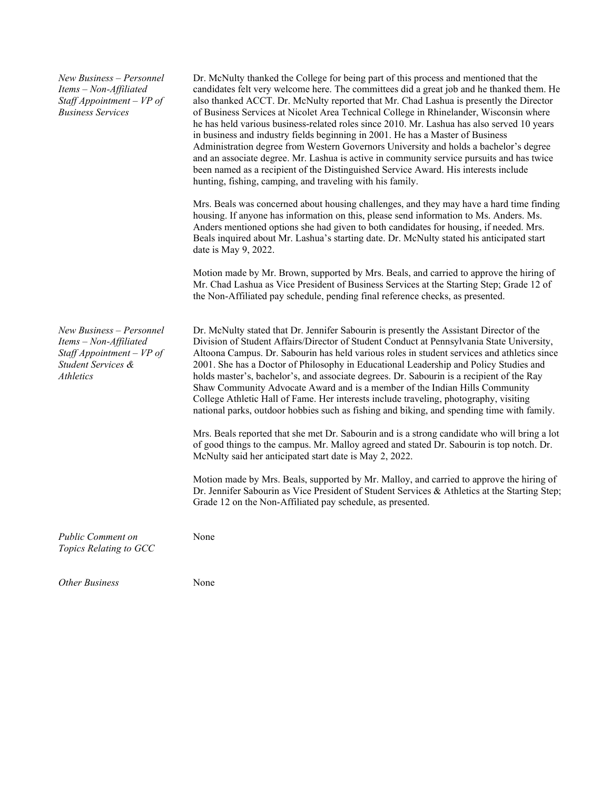*New Business – Personnel Items – Non-Affiliated Staff Appointment – VP of Business Services*

Dr. McNulty thanked the College for being part of this process and mentioned that the candidates felt very welcome here. The committees did a great job and he thanked them. He also thanked ACCT. Dr. McNulty reported that Mr. Chad Lashua is presently the Director of Business Services at Nicolet Area Technical College in Rhinelander, Wisconsin where he has held various business-related roles since 2010. Mr. Lashua has also served 10 years in business and industry fields beginning in 2001. He has a Master of Business Administration degree from Western Governors University and holds a bachelor's degree and an associate degree. Mr. Lashua is active in community service pursuits and has twice been named as a recipient of the Distinguished Service Award. His interests include hunting, fishing, camping, and traveling with his family.

Mrs. Beals was concerned about housing challenges, and they may have a hard time finding housing. If anyone has information on this, please send information to Ms. Anders. Ms. Anders mentioned options she had given to both candidates for housing, if needed. Mrs. Beals inquired about Mr. Lashua's starting date. Dr. McNulty stated his anticipated start date is May 9, 2022.

Motion made by Mr. Brown, supported by Mrs. Beals, and carried to approve the hiring of Mr. Chad Lashua as Vice President of Business Services at the Starting Step; Grade 12 of the Non-Affiliated pay schedule, pending final reference checks, as presented.

*New Business – Personnel Items – Non-Affiliated Staff Appointment – VP of Student Services & Athletics*

Dr. McNulty stated that Dr. Jennifer Sabourin is presently the Assistant Director of the Division of Student Affairs/Director of Student Conduct at Pennsylvania State University, Altoona Campus. Dr. Sabourin has held various roles in student services and athletics since 2001. She has a Doctor of Philosophy in Educational Leadership and Policy Studies and holds master's, bachelor's, and associate degrees. Dr. Sabourin is a recipient of the Ray Shaw Community Advocate Award and is a member of the Indian Hills Community College Athletic Hall of Fame. Her interests include traveling, photography, visiting national parks, outdoor hobbies such as fishing and biking, and spending time with family.

Mrs. Beals reported that she met Dr. Sabourin and is a strong candidate who will bring a lot of good things to the campus. Mr. Malloy agreed and stated Dr. Sabourin is top notch. Dr. McNulty said her anticipated start date is May 2, 2022.

Motion made by Mrs. Beals, supported by Mr. Malloy, and carried to approve the hiring of Dr. Jennifer Sabourin as Vice President of Student Services & Athletics at the Starting Step; Grade 12 on the Non-Affiliated pay schedule, as presented.

*Public Comment on Topics Relating to GCC* 

*Other Business* None

None